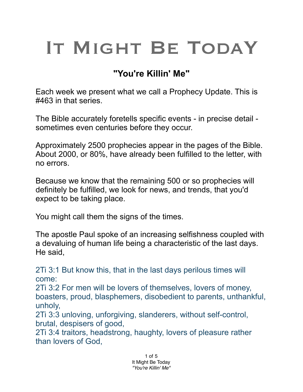## IT MIGHT BE TODAY

## **"You're Killin' Me"**

Each week we present what we call a Prophecy Update. This is #463 in that series.

The Bible accurately foretells specific events - in precise detail sometimes even centuries before they occur.

Approximately 2500 prophecies appear in the pages of the Bible. About 2000, or 80%, have already been fulfilled to the letter, with no errors.

Because we know that the remaining 500 or so prophecies will definitely be fulfilled, we look for news, and trends, that you'd expect to be taking place.

You might call them the signs of the times.

The apostle Paul spoke of an increasing selfishness coupled with a devaluing of human life being a characteristic of the last days. He said,

2Ti 3:1 But know this, that in the last days perilous times will come:

2Ti 3:2 For men will be lovers of themselves, lovers of money, boasters, proud, blasphemers, disobedient to parents, unthankful, unholy,

2Ti 3:3 unloving, unforgiving, slanderers, without self-control, brutal, despisers of good,

2Ti 3:4 traitors, headstrong, haughty, lovers of pleasure rather than lovers of God,

> 1 of 5 It Might Be Today *"You're Killin' Me"*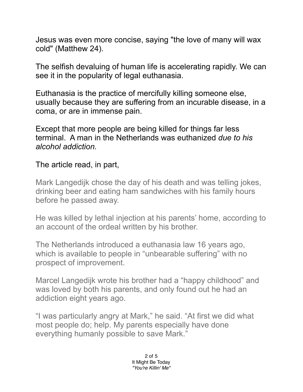Jesus was even more concise, saying "the love of many will wax cold" (Matthew 24).

The selfish devaluing of human life is accelerating rapidly. We can see it in the popularity of legal euthanasia.

Euthanasia is the practice of mercifully killing someone else, usually because they are suffering from an incurable disease, in a coma, or are in immense pain.

Except that more people are being killed for things far less terminal. A man in the Netherlands was euthanized *due to his alcohol addiction.* 

The article read, in part,

Mark Langedijk chose the day of his death and was telling jokes, drinking beer and eating ham sandwiches with his family hours before he passed away.

He was killed by lethal injection at his parents' home, according to an account of the ordeal written by his brother.

The Netherlands introduced a euthanasia law 16 years ago, which is available to people in "unbearable suffering" with no prospect of improvement.

Marcel Langedijk wrote his brother had a "happy childhood" and was loved by both his parents, and only found out he had an addiction eight years ago.

"I was particularly angry at Mark," he said. "At first we did what most people do; help. My parents especially have done everything humanly possible to save Mark."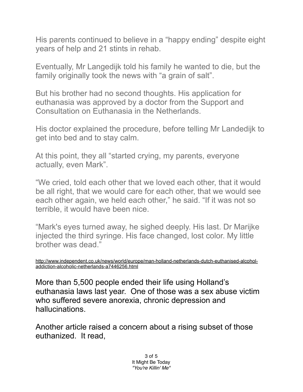His parents continued to believe in a "happy ending" despite eight years of help and 21 stints in rehab.

Eventually, Mr Langedijk told his family he wanted to die, but the family originally took the news with "a grain of salt".

But his brother had no second thoughts. His application for euthanasia was approved by a doctor from the Support and Consultation on Euthanasia in the Netherlands.

His doctor explained the procedure, before telling Mr Landedijk to get into bed and to stay calm.

At this point, they all "started crying, my parents, everyone actually, even Mark".

"We cried, told each other that we loved each other, that it would be all right, that we would care for each other, that we would see each other again, we held each other," he said. "If it was not so terrible, it would have been nice.

"Mark's eyes turned away, he sighed deeply. His last. Dr Marijke injected the third syringe. His face changed, lost color. My little brother was dead."

[http://www.independent.co.uk/news/world/europe/man-holland-netherlands-dutch-euthanised-alcohol](http://www.independent.co.uk/news/world/europe/man-holland-netherlands-dutch-euthanised-alcohol-addiction-alcoholic-netherlands-a7446256.html)[addiction-alcoholic-netherlands-a7446256.html](http://www.independent.co.uk/news/world/europe/man-holland-netherlands-dutch-euthanised-alcohol-addiction-alcoholic-netherlands-a7446256.html)

More than 5,500 people ended their life using Holland's euthanasia laws last year. One of those was a sex abuse victim who suffered severe anorexia, chronic depression and hallucinations.

Another article raised a concern about a rising subset of those euthanized. It read,

> 3 of 5 It Might Be Today *"You're Killin' Me"*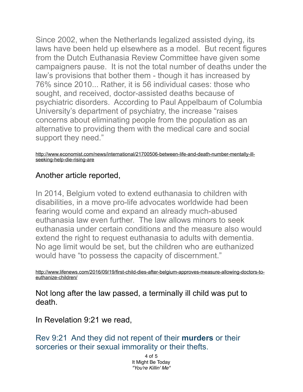Since 2002, when the Netherlands legalized assisted dying, its laws have been held up elsewhere as a model. But recent figures from the Dutch Euthanasia Review Committee have given some campaigners pause. It is not the total number of deaths under the law's provisions that bother them - though it has increased by 76% since 2010... Rather, it is 56 individual cases: those who sought, and received, doctor-assisted deaths because of psychiatric disorders. According to Paul Appelbaum of Columbia University's department of psychiatry, the increase "raises concerns about eliminating people from the population as an alternative to providing them with the medical care and social support they need."

[http://www.economist.com/news/international/21700506-between-life-and-death-number-mentally-ill](http://www.economist.com/news/international/21700506-between-life-and-death-number-mentally-ill-seeking-help-die-rising-are)[seeking-help-die-rising-are](http://www.economist.com/news/international/21700506-between-life-and-death-number-mentally-ill-seeking-help-die-rising-are)

## Another article reported,

In 2014, Belgium voted to extend euthanasia to children with disabilities, in a move pro-life advocates worldwide had been fearing would come and expand an already much-abused euthanasia law even further. The law allows minors to seek euthanasia under certain conditions and the measure also would extend the right to request euthanasia to adults with dementia. No age limit would be set, but the children who are euthanized would have "to possess the capacity of discernment."

[http://www.lifenews.com/2016/09/19/first-child-dies-after-belgium-approves-measure-allowing-doctors-to](http://www.lifenews.com/2016/09/19/first-child-dies-after-belgium-approves-measure-allowing-doctors-to-euthanize-children/)[euthanize-children/](http://www.lifenews.com/2016/09/19/first-child-dies-after-belgium-approves-measure-allowing-doctors-to-euthanize-children/)

Not long after the law passed, a terminally ill child was put to death

In Revelation 9:21 we read,

Rev 9:21 And they did not repent of their **murders** or their sorceries or their sexual immorality or their thefts.

> 4 of 5 It Might Be Today *"You're Killin' Me"*